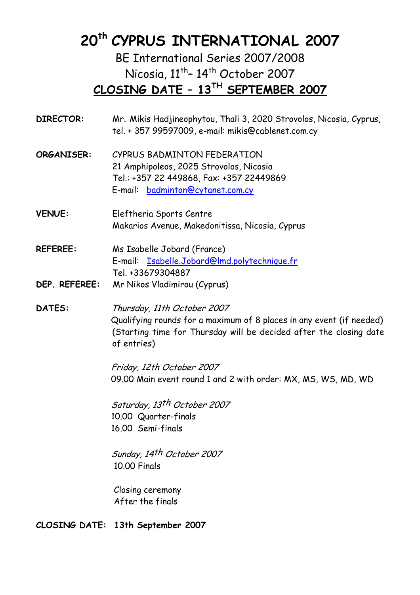# **20th CYPRUS INTERNATIONAL 2007**

BE International Series 2007/2008 Nicosia,  $11^{th}$ - 14<sup>th</sup> October 2007 **CLOSING DATE – 13TH SEPTEMBER 2007**

| <b>DIRECTOR:</b> | Mr. Mikis Hadjineophytou, Thali 3, 2020 Strovolos, Nicosia, Cyprus,<br>tel. + 357 99597009, e-mail: mikis@cablenet.com.cy                                                                |
|------------------|------------------------------------------------------------------------------------------------------------------------------------------------------------------------------------------|
| ORGANISER:       | CYPRUS BADMINTON FEDERATION<br>21 Amphipoleos, 2025 Strovolos, Nicosia<br>Tel.: +357 22 449868, Fax: +357 22449869<br>E-mail: badminton@cytanet.com.cy                                   |
| <b>VENUE:</b>    | Eleftheria Sports Centre<br>Makarios Avenue, Makedonitissa, Nicosia, Cyprus                                                                                                              |
| <b>REFEREE:</b>  | Ms Isabelle Jobard (France)<br>E-mail: Isabelle.Jobard@lmd.polytechnique.fr<br>Tel. +33679304887                                                                                         |
| DEP. REFEREE:    | Mr Nikos Vladimirou (Cyprus)                                                                                                                                                             |
| <b>DATES:</b>    | Thursday, 11th October 2007<br>Qualifying rounds for a maximum of 8 places in any event (if needed)<br>(Starting time for Thursday will be decided after the closing date<br>of entries) |
|                  | Friday, 12th October 2007<br>09.00 Main event round 1 and 2 with order: MX, MS, WS, MD, WD                                                                                               |
|                  | Saturday, 13th October 2007<br>10.00 Quarter-finals<br>16.00 Semi-finals                                                                                                                 |
|                  | Sunday, 14th October 2007<br>10.00 Finals                                                                                                                                                |

Closing ceremony After the finals

**CLOSING DATE: 13th September 2007**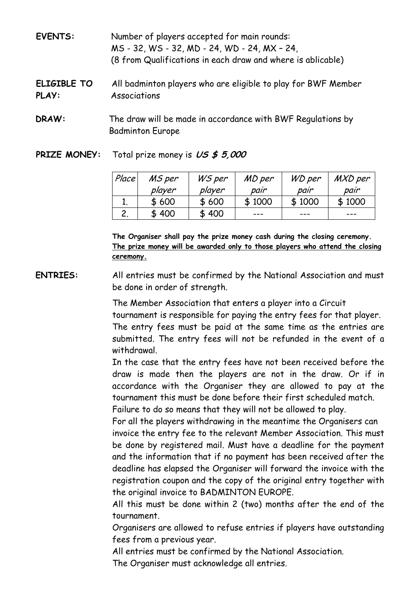| <b>EVENTS:</b>       | Number of players accepted for main rounds:<br>MS - 32, WS - 32, MD - 24, WD - 24, MX - 24,<br>(8 from Qualifications in each draw and where is ablicable) |
|----------------------|------------------------------------------------------------------------------------------------------------------------------------------------------------|
| ELIGIBLE TO<br>PLAY: | All badminton players who are eligible to play for BWF Member<br>Associations                                                                              |
| DRAW:                | The draw will be made in accordance with BWF Regulations by<br><b>Badminton Europe</b>                                                                     |

**PRIZE MONEY:** Total prize money is **US \$ 5,000** 

| Place | MS per | WS per | MD per | WD per | MXD per |
|-------|--------|--------|--------|--------|---------|
|       | player | player | pair   | pair   | pair    |
|       | \$600  | \$600  | \$1000 | \$1000 | \$1000  |
| 2.    | \$400  | \$400  | ---    | ---    | ---     |

**The Organiser shall pay the prize money cash during the closing ceremony. The prize money will be awarded only to those players who attend the closing ceremony.**

 **ENTRIES:** All entries must be confirmed by the National Association and must be done in order of strength.

> The Member Association that enters a player into a Circuit tournament is responsible for paying the entry fees for that player. The entry fees must be paid at the same time as the entries are submitted. The entry fees will not be refunded in the event of a withdrawal.

> In the case that the entry fees have not been received before the draw is made then the players are not in the draw. Or if in accordance with the Organiser they are allowed to pay at the tournament this must be done before their first scheduled match. Failure to do so means that they will not be allowed to play.

> For all the players withdrawing in the meantime the Organisers can invoice the entry fee to the relevant Member Association. This must be done by registered mail. Must have a deadline for the payment and the information that if no payment has been received after the deadline has elapsed the Organiser will forward the invoice with the registration coupon and the copy of the original entry together with the original invoice to BADMINTON EUROPE.

> All this must be done within 2 (two) months after the end of the tournament.

> Organisers are allowed to refuse entries if players have outstanding fees from a previous year.

All entries must be confirmed by the National Association.

The Organiser must acknowledge all entries.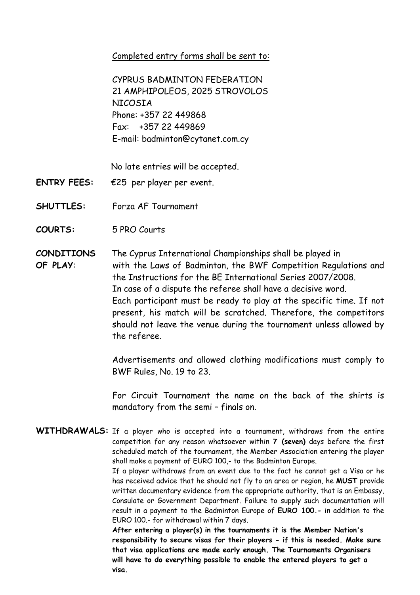Completed entry forms shall be sent to:

CYPRUS BADMINTON FEDERATION 21 AMPHIPOLEOS, 2025 STROVOLOS NICOSIA Phone: +357 22 449868 Fax: +357 22 449869 E-mail: badminton@cytanet.com.cy

No late entries will be accepted.

- **ENTRY FEES:** €25 per player per event.
- **SHUTTLES:** Forza AF Tournament
- **COURTS:** 5 PRO Courts
- **CONDITIONS** The Cyprus International Championships shall be played in  **OF PLAY**:with the Laws of Badminton, the BWF Competition Regulations and the Instructions for the BE International Series 2007/2008. In case of a dispute the referee shall have a decisive word. Each participant must be ready to play at the specific time. If not present, his match will be scratched. Therefore, the competitors should not leave the venue during the tournament unless allowed by the referee.

 Advertisements and allowed clothing modifications must comply to BWF Rules, No. 19 to 23.

 For Circuit Tournament the name on the back of the shirts is mandatory from the semi – finals on.

**WITHDRAWALS:** If a player who is accepted into a tournament, withdraws from the entire competition for any reason whatsoever within **7 (seven)** days before the first scheduled match of the tournament, the Member Association entering the player shall make a payment of EURO 100,- to the Badminton Europe.

> If a player withdraws from an event due to the fact he cannot get a Visa or he has received advice that he should not fly to an area or region, he **MUST** provide written documentary evidence from the appropriate authority, that is an Embassy, Consulate or Government Department. Failure to supply such documentation will result in a payment to the Badminton Europe of **EURO 100.-** in addition to the EURO 100.- for withdrawal within 7 days.

**After entering a player(s) in the tournaments it is the Member Nation's responsibility to secure visas for their players - if this is needed. Make sure that visa applications are made early enough. The Tournaments Organisers will have to do everything possible to enable the entered players to get a visa.**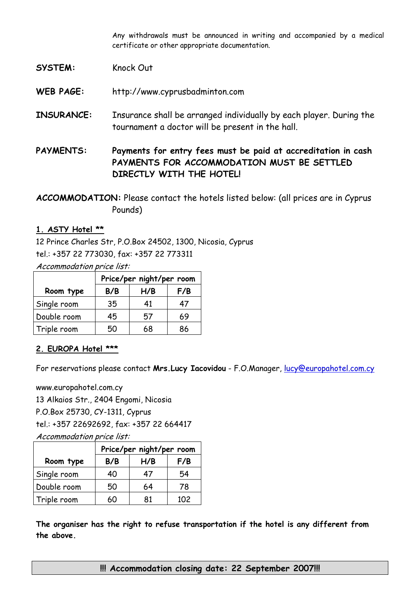Any withdrawals must be announced in writing and accompanied by a medical certificate or other appropriate documentation.

#### SYSTEM: Knock Out

**WEB PAGE:** http://www.cyprusbadminton.com

- **INSURANCE:** Insurance shall be arranged individually by each player. During the tournament a doctor will be present in the hall.
- **PAYMENTS: Payments for entry fees must be paid at accreditation in cash PAYMENTS FOR ACCOMMODATION MUST BE SETTLED DIRECTLY WITH THE HOTEL!**

**ACCOMMODATION:** Please contact the hotels listed below: (all prices are in Cyprus Pounds)

#### **1. ASTY Hotel \*\***

12 Prince Charles Str, P.O.Box 24502, 1300, Nicosia, Cyprus tel.: +357 22 773030, fax: +357 22 773311

Accommodation price list:

|             | Price/per night/per room |     |     |  |  |  |  |
|-------------|--------------------------|-----|-----|--|--|--|--|
| Room type   | B/B                      | H/B | F/B |  |  |  |  |
| Single room | 35                       | 41  | 47  |  |  |  |  |
| Double room | 45                       | 57  | 69  |  |  |  |  |
| Triple room | 50                       | 68  | 86  |  |  |  |  |

#### **2. EUROPA Hotel \*\*\***

For reservations please contact **Mrs.Lucy Iacovidou** - F.O.Manager, lucy@europahotel.com.cy

www.europahotel.com.cy 13 Alkaios Str., 2404 Engomi, Nicosia P.O.Box 25730, CY-1311, Cyprus tel.: +357 22692692, fax: +357 22 664417 Accommodation price list:

|             | Price/per night/per room |     |                  |  |  |  |  |
|-------------|--------------------------|-----|------------------|--|--|--|--|
| Room type   | B/B                      | H/B | F/B              |  |  |  |  |
| Single room | 40                       | 47  | 54               |  |  |  |  |
| Double room | 50                       | 64  | 78               |  |  |  |  |
| Triple room | 60                       | 81  | 102 <sub>2</sub> |  |  |  |  |

**The organiser has the right to refuse transportation if the hotel is any different from the above.** 

**!!! Accommodation closing date: 22 September 2007!!!**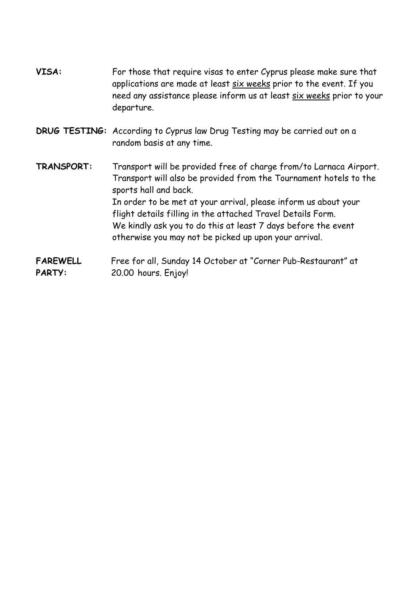- VISA: For those that require visas to enter Cyprus please make sure that applications are made at least six weeks prior to the event. If you need any assistance please inform us at least six weeks prior to your departure.
- **DRUG TESTING:** According to Cyprus law Drug Testing may be carried out on a random basis at any time.
- **TRANSPORT:** Transport will be provided free of charge from/to Larnaca Airport. Transport will also be provided from the Tournament hotels to the sports hall and back. In order to be met at your arrival, please inform us about your flight details filling in the attached Travel Details Form. We kindly ask you to do this at least 7 days before the event otherwise you may not be picked up upon your arrival.
- **FAREWELL** Free for all, Sunday 14 October at "Corner Pub-Restaurant" at PARTY: 20.00 hours. Enjoy!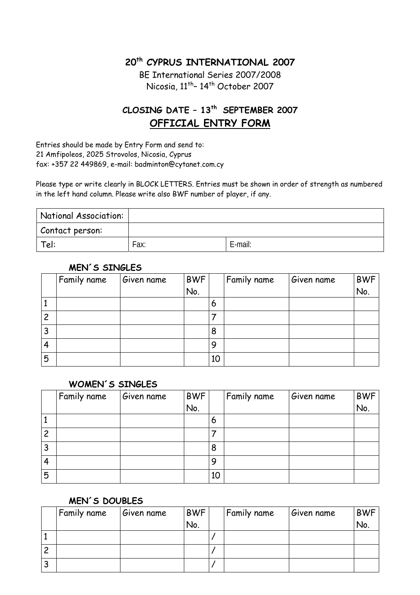## **20th CYPRUS INTERNATIONAL 2007**

BE International Series 2007/2008 Nicosia, 11<sup>th</sup>-14<sup>th</sup> October 2007

# **CLOSING DATE – 13th SEPTEMBER 2007 OFFICIAL ENTRY FORM**

Entries should be made by Entry Form and send to: 21 Amfipoleos, 2025 Strovolos, Nicosia, Cyprus fax: +357 22 449869, e-mail: badminton@cytanet.com.cy

Please type or write clearly in BLOCK LETTERS. Entries must be shown in order of strength as numbered in the left hand column. Please write also BWF number of player, if any.

| National Association: |      |         |
|-----------------------|------|---------|
| Contact person:       |      |         |
| Tel:                  | Fax: | E-mail: |

#### Family name Given name BWF No. Family name Given name BWF No. 1 6 2 7 3 8 4 9 5 10

#### **MEN´S SINGLES**

#### **WOMEN´S SINGLES**

|                | Family name | Given name | <b>BWF</b> |    | Family name | Given name | <b>BWF</b> |
|----------------|-------------|------------|------------|----|-------------|------------|------------|
|                |             |            | No.        |    |             |            | No.        |
| д              |             |            |            | 6  |             |            |            |
| $\overline{c}$ |             |            |            |    |             |            |            |
| 3              |             |            |            | 8  |             |            |            |
| 4              |             |            |            | 9  |             |            |            |
| 5              |             |            |            | 10 |             |            |            |

#### **MEN´S DOUBLES**

|        | Family name | Given name | <b>BWF</b> | Family name | Given name | BWF |
|--------|-------------|------------|------------|-------------|------------|-----|
|        |             |            | No.        |             |            | No. |
|        |             |            |            |             |            |     |
|        |             |            |            |             |            |     |
| ∍<br>ت |             |            |            |             |            |     |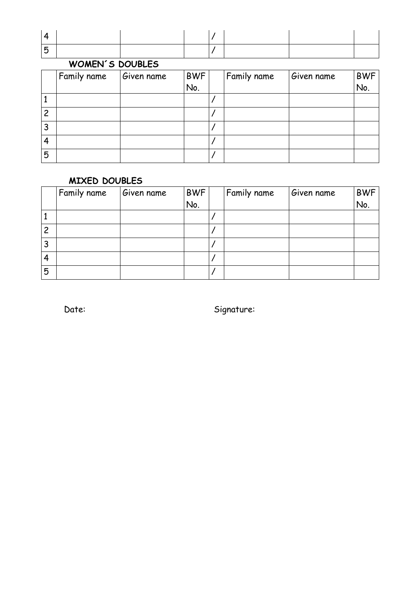## **WOMEN´S DOUBLES**

|                | Family name | Given name | <b>BWF</b> | Family name | Given name | <b>BWF</b> |
|----------------|-------------|------------|------------|-------------|------------|------------|
|                |             |            | No.        |             |            | No.        |
| д              |             |            |            |             |            |            |
| $\overline{c}$ |             |            |            |             |            |            |
| 3              |             |            |            |             |            |            |
| 4              |             |            |            |             |            |            |
| 5              |             |            |            |             |            |            |

#### **MIXED DOUBLES**

|                | Family name | Given name | <b>BWF</b> | Family name | Given name | <b>BWF</b> |
|----------------|-------------|------------|------------|-------------|------------|------------|
|                |             |            | No.        |             |            | No.        |
|                |             |            |            |             |            |            |
| $\overline{c}$ |             |            |            |             |            |            |
| 3              |             |            |            |             |            |            |
| 4              |             |            |            |             |            |            |
| 5              |             |            |            |             |            |            |

Date: Signature: